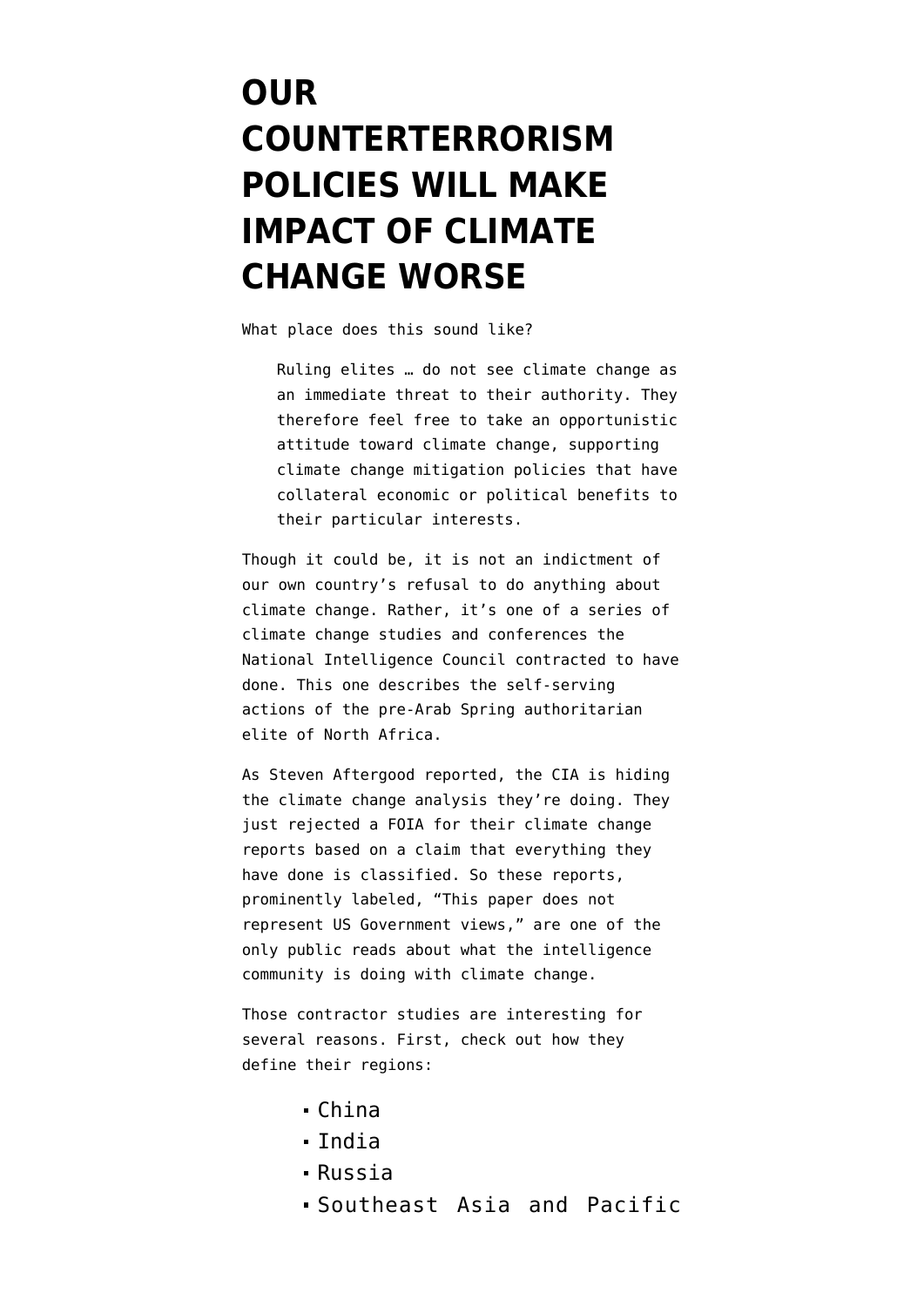## **[OUR](https://www.emptywheel.net/2011/09/27/our-counterterrorism-policies-will-make-impact-of-climate-change-worse/) [COUNTERTERRORISM](https://www.emptywheel.net/2011/09/27/our-counterterrorism-policies-will-make-impact-of-climate-change-worse/) [POLICIES WILL MAKE](https://www.emptywheel.net/2011/09/27/our-counterterrorism-policies-will-make-impact-of-climate-change-worse/) [IMPACT OF CLIMATE](https://www.emptywheel.net/2011/09/27/our-counterterrorism-policies-will-make-impact-of-climate-change-worse/) [CHANGE WORSE](https://www.emptywheel.net/2011/09/27/our-counterterrorism-policies-will-make-impact-of-climate-change-worse/)**

What place does this sound like?

Ruling elites … do not see climate change as an immediate threat to their authority. They therefore feel free to take an opportunistic attitude toward climate change, supporting climate change mitigation policies that have collateral economic or political benefits to their particular interests.

Though it could be, it is not an indictment of our own country's refusal to do anything about climate change. Rather, it's one of a series of [climate change studies and conferences](http://www.dni.gov/nic/special_climate2030.html) the National Intelligence Council contracted to have done. This one describes the self-serving actions of the pre-Arab Spring authoritarian elite of North Africa.

As Steven Aftergood [reported](https://www.fas.org/blog/secrecy/2011/09/cia_climate.html), the CIA is hiding the climate change analysis they're doing. They just rejected a FOIA for their climate change reports based on a claim that everything they have done is classified. So these reports, prominently labeled, "This paper does not represent US Government views," are one of the only public reads about what the intelligence community is doing with climate change.

Those contractor studies are interesting for several reasons. First, check out how they define their regions:

- China
- India
- Russia
- Southeast Asia and Pacific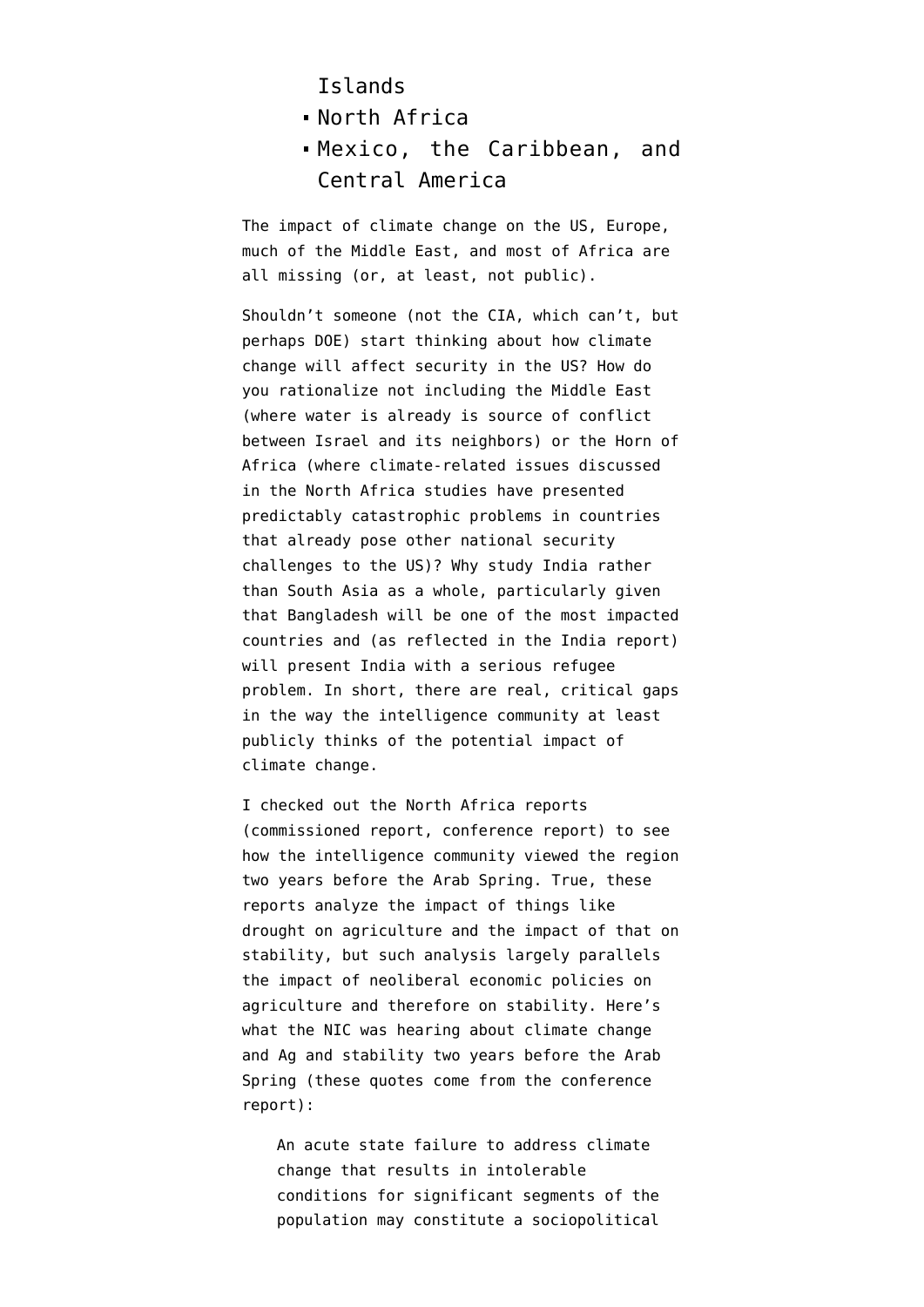## Islands

- North Africa
- Mexico, the Caribbean, and Central America

The impact of climate change on the US, Europe, much of the Middle East, and most of Africa are all missing (or, at least, not public).

Shouldn't someone (not the CIA, which can't, but perhaps DOE) start thinking about how climate change will affect security in the US? How do you rationalize not including the Middle East (where water is already is source of conflict between Israel and its neighbors) or the Horn of Africa (where climate-related issues discussed in the North Africa studies have presented predictably catastrophic problems in countries that already pose other national security challenges to the US)? Why study India rather than South Asia as a whole, particularly given that Bangladesh will be one of the most impacted countries and (as reflected in the India report) will present India with a serious refugee problem. In short, there are real, critical gaps in the way the intelligence community at least publicly thinks of the potential impact of climate change.

I checked out the North Africa reports ([commissioned report](http://www.dni.gov/nic/PDF_GIF_otherprod/climate_change/climate2030_north_africa.pdf), [conference report\)](http://www.dni.gov/nic/PDF_GIF_otherprod/climate_change/cr200921_north_africa_climate_change.pdf) to see how the intelligence community viewed the region two years before the Arab Spring. True, these reports analyze the impact of things like drought on agriculture and the impact of that on stability, but such analysis largely parallels the impact of neoliberal economic policies on agriculture and therefore on stability. Here's what the NIC was hearing about climate change and Ag and stability two years before the Arab Spring (these quotes come from the conference report):

An acute state failure to address climate change that results in intolerable conditions for significant segments of the population may constitute a sociopolitical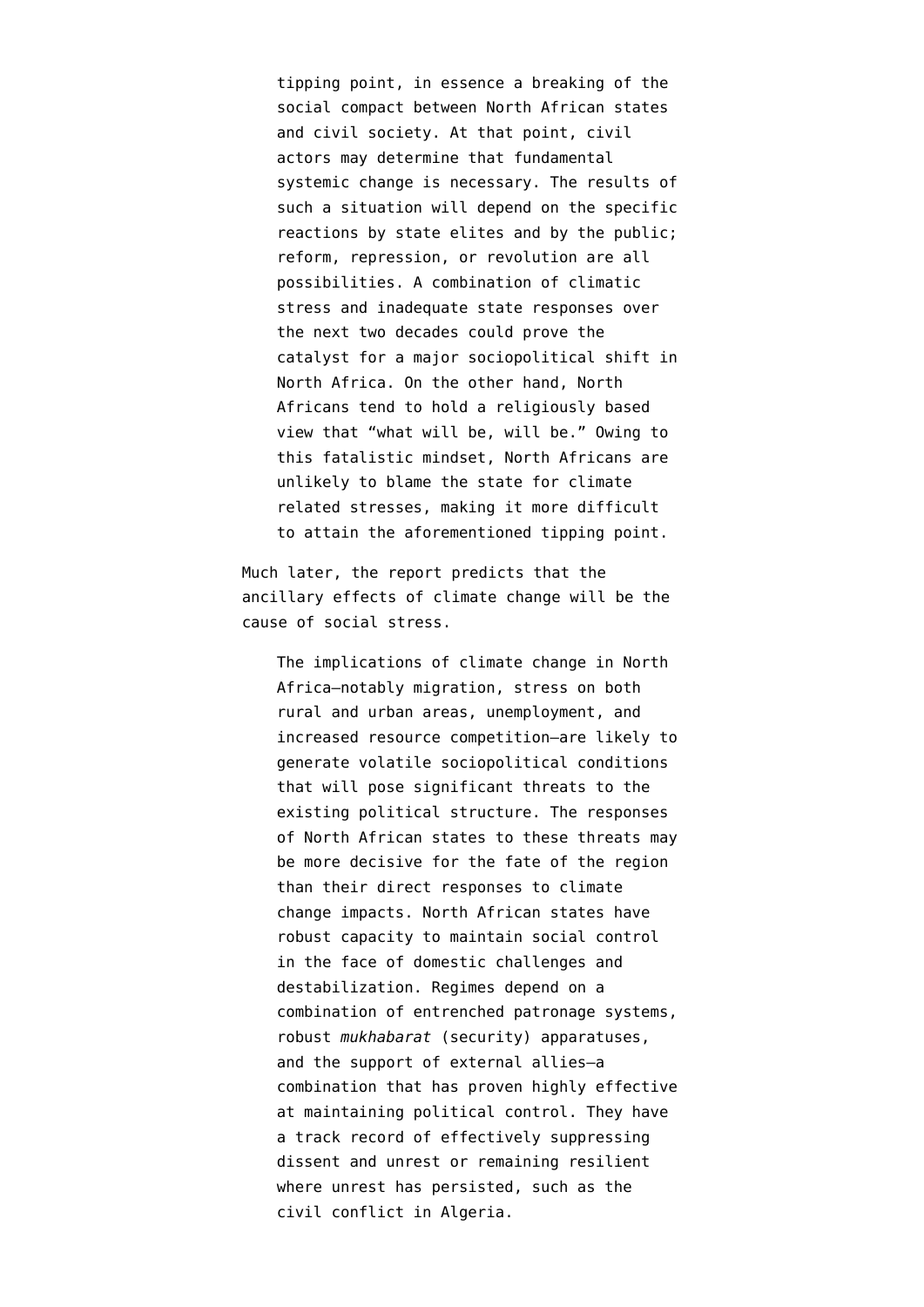tipping point, in essence a breaking of the social compact between North African states and civil society. At that point, civil actors may determine that fundamental systemic change is necessary. The results of such a situation will depend on the specific reactions by state elites and by the public; reform, repression, or revolution are all possibilities. A combination of climatic stress and inadequate state responses over the next two decades could prove the catalyst for a major sociopolitical shift in North Africa. On the other hand, North Africans tend to hold a religiously based view that "what will be, will be." Owing to this fatalistic mindset, North Africans are unlikely to blame the state for climate related stresses, making it more difficult to attain the aforementioned tipping point.

Much later, the report predicts that the ancillary effects of climate change will be the cause of social stress.

The implications of climate change in North Africa—notably migration, stress on both rural and urban areas, unemployment, and increased resource competition—are likely to generate volatile sociopolitical conditions that will pose significant threats to the existing political structure. The responses of North African states to these threats may be more decisive for the fate of the region than their direct responses to climate change impacts. North African states have robust capacity to maintain social control in the face of domestic challenges and destabilization. Regimes depend on a combination of entrenched patronage systems, robust *mukhabarat* (security) apparatuses, and the support of external allies—a combination that has proven highly effective at maintaining political control. They have a track record of effectively suppressing dissent and unrest or remaining resilient where unrest has persisted, such as the civil conflict in Algeria.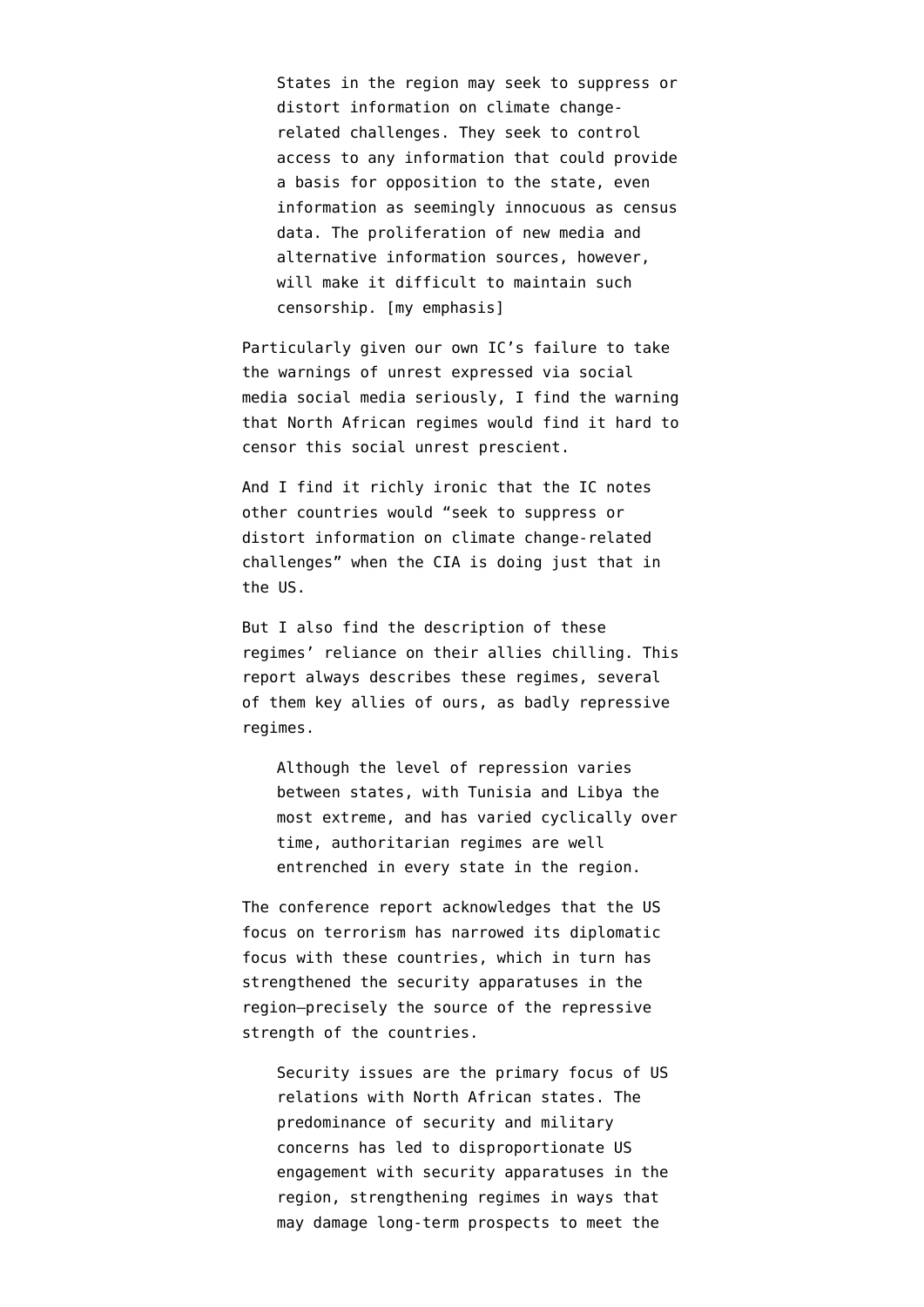States in the region may seek to suppress or distort information on climate changerelated challenges. They seek to control access to any information that could provide a basis for opposition to the state, even information as seemingly innocuous as census data. The proliferation of new media and alternative information sources, however, will make it difficult to maintain such censorship. [my emphasis]

Particularly given our own IC's [failure to take](http://www.emptywheel.net/2011/02/04/our-diplomats-need-to-spend-more-time-surfing-on-the-toobz/) [the warnings of unrest](http://www.emptywheel.net/2011/02/04/our-diplomats-need-to-spend-more-time-surfing-on-the-toobz/) expressed via social media social media seriously, I find the warning that North African regimes would find it hard to censor this social unrest prescient.

And I find it richly ironic that the IC notes other countries would "seek to suppress or distort information on climate change-related challenges" when the CIA is doing just that in the US.

But I also find the description of these regimes' reliance on their allies chilling. This report always describes these regimes, several of them key allies of ours, as badly repressive regimes.

Although the level of repression varies between states, with Tunisia and Libya the most extreme, and has varied cyclically over time, authoritarian regimes are well entrenched in every state in the region.

The conference report acknowledges that the US focus on terrorism has narrowed its diplomatic focus with these countries, which in turn has strengthened the security apparatuses in the region–precisely the source of the repressive strength of the countries.

Security issues are the primary focus of US relations with North African states. The predominance of security and military concerns has led to disproportionate US engagement with security apparatuses in the region, strengthening regimes in ways that may damage long-term prospects to meet the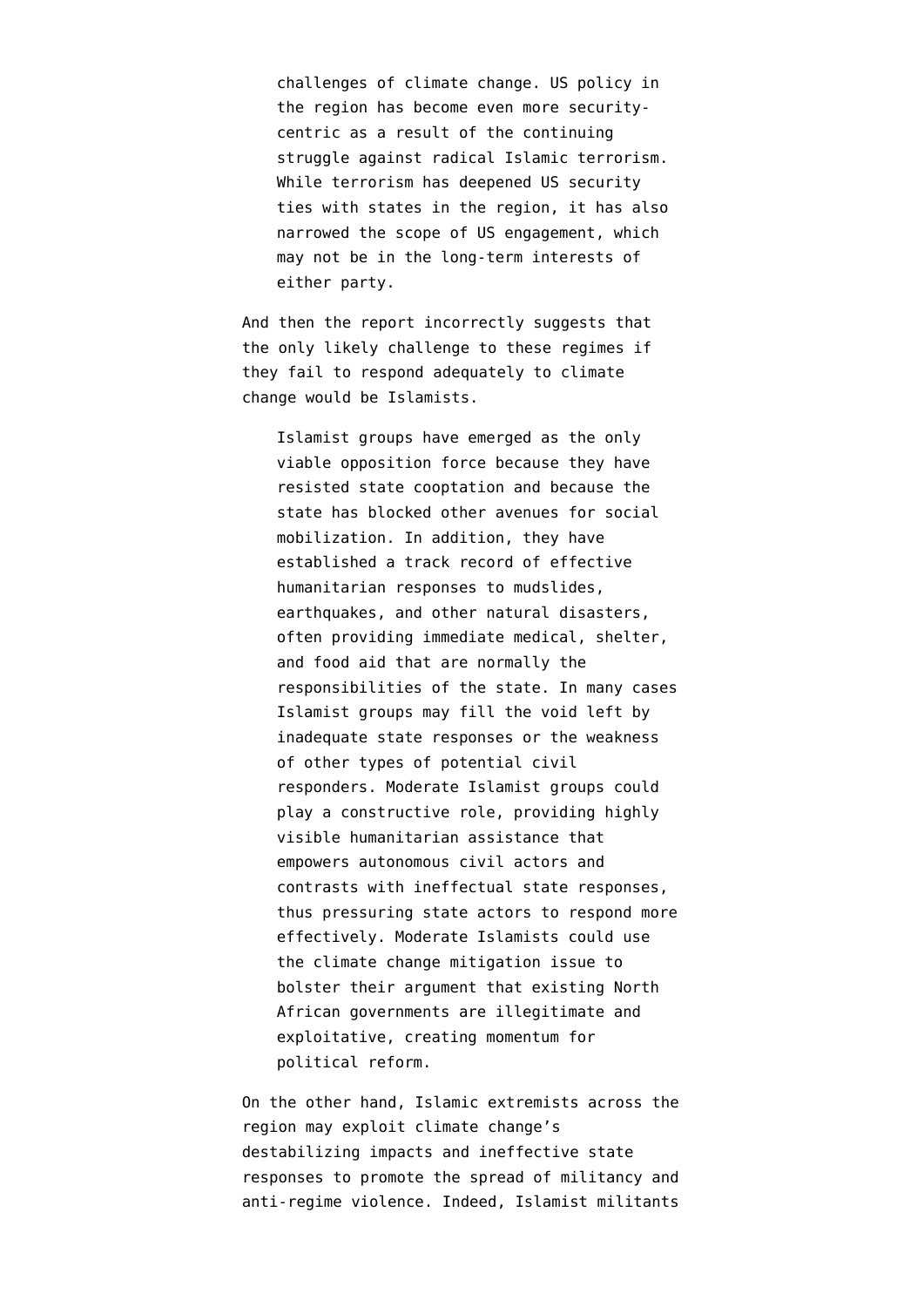challenges of climate change. US policy in the region has become even more securitycentric as a result of the continuing struggle against radical Islamic terrorism. While terrorism has deepened US security ties with states in the region, it has also narrowed the scope of US engagement, which may not be in the long-term interests of either party.

And then the report incorrectly suggests that the only likely challenge to these regimes if they fail to respond adequately to climate change would be Islamists.

Islamist groups have emerged as the only viable opposition force because they have resisted state cooptation and because the state has blocked other avenues for social mobilization. In addition, they have established a track record of effective humanitarian responses to mudslides, earthquakes, and other natural disasters, often providing immediate medical, shelter, and food aid that are normally the responsibilities of the state. In many cases Islamist groups may fill the void left by inadequate state responses or the weakness of other types of potential civil responders. Moderate Islamist groups could play a constructive role, providing highly visible humanitarian assistance that empowers autonomous civil actors and contrasts with ineffectual state responses, thus pressuring state actors to respond more effectively. Moderate Islamists could use the climate change mitigation issue to bolster their argument that existing North African governments are illegitimate and exploitative, creating momentum for political reform.

On the other hand, Islamic extremists across the region may exploit climate change's destabilizing impacts and ineffective state responses to promote the spread of militancy and anti-regime violence. Indeed, Islamist militants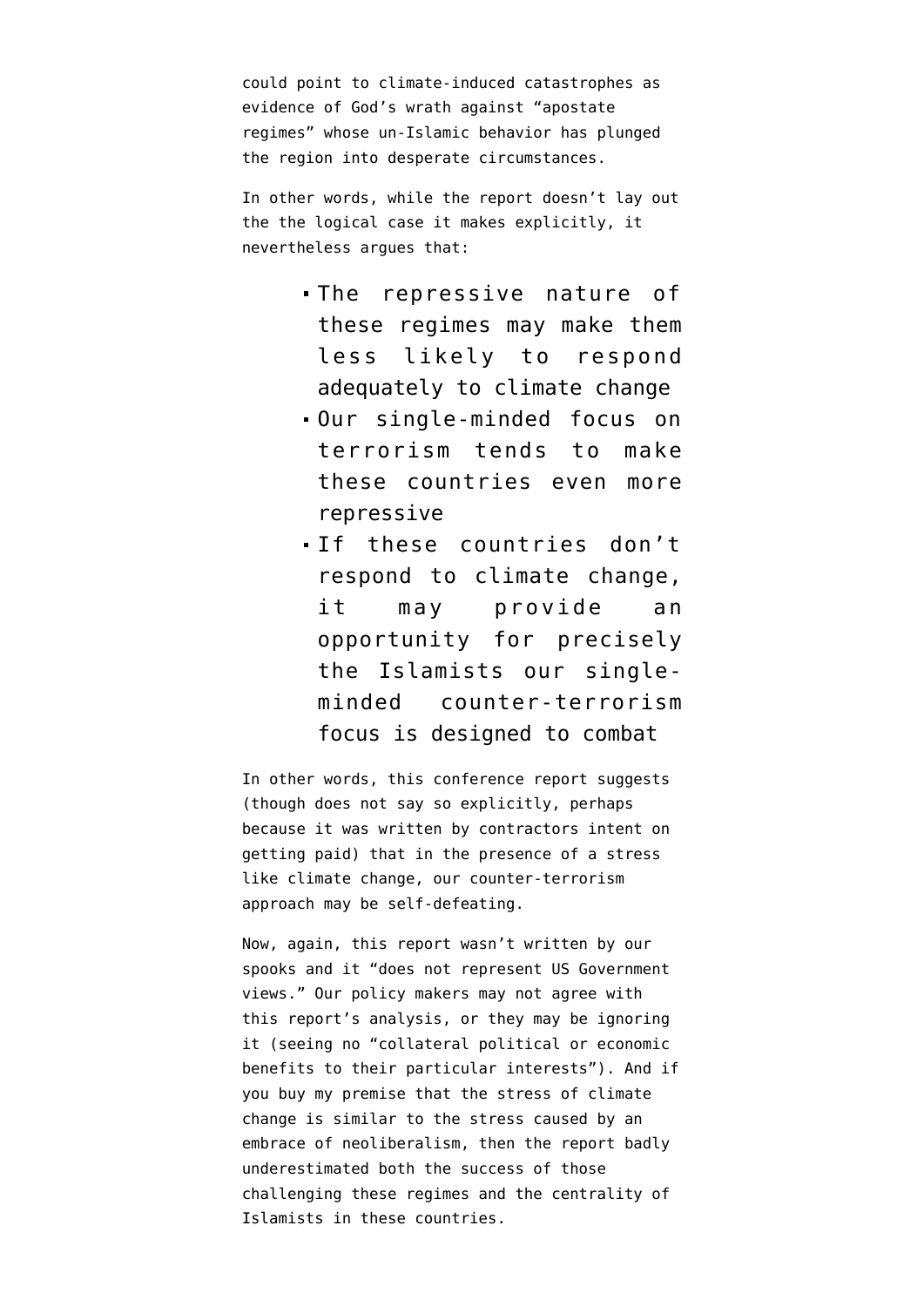could point to climate-induced catastrophes as evidence of God's wrath against "apostate regimes" whose un-Islamic behavior has plunged the region into desperate circumstances.

In other words, while the report doesn't lay out the the logical case it makes explicitly, it nevertheless argues that:

- The repressive nature of these regimes may make them less likely to respond adequately to climate change
- Our single-minded focus on terrorism tends to make these countries even more repressive
- If these countries don't respond to climate change, it may provide an opportunity for precisely the Islamists our singleminded counter-terrorism focus is designed to combat

In other words, this conference report suggests (though does not say so explicitly, perhaps because it was written by contractors intent on getting paid) that in the presence of a stress like climate change, our counter-terrorism approach may be self-defeating.

Now, again, this report wasn't written by our spooks and it "does not represent US Government views." Our policy makers may not agree with this report's analysis, or they may be ignoring it (seeing no "collateral political or economic benefits to their particular interests"). And if you buy my premise that the stress of climate change is similar to the stress caused by an embrace of neoliberalism, then the report badly underestimated both the success of those challenging these regimes and the centrality of Islamists in these countries.